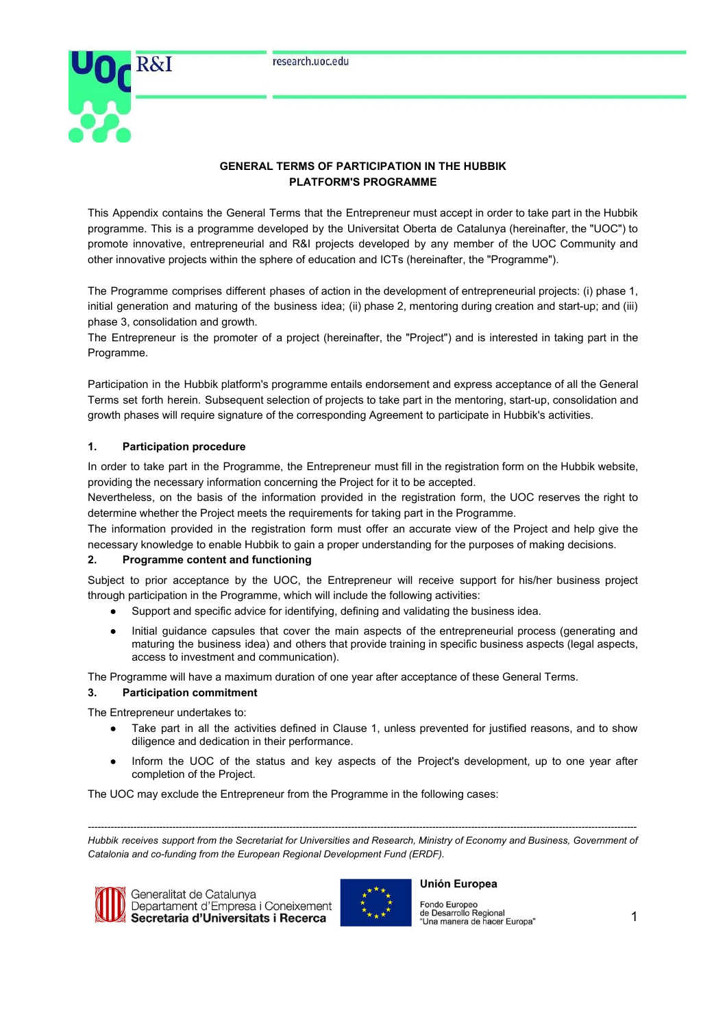

# **GENERAL TERMS OF PARTICIPATION IN THE HUBBIK PLATFORM'S PROGRAMME**

This Appendix contains the General Terms that the Entrepreneur must accept in order to take part in the Hubbik programme. This is a programme developed by the Universitat Oberta de Catalunya (hereinafter, the "UOC") to promote innovative, entrepreneurial and R&I projects developed by any member of the UOC Community and other innovative projects within the sphere of education and ICTs (hereinafter, the "Programme").

The Programme comprises different phases of action in the development of entrepreneurial projects: (i) phase 1, initial generation and maturing of the business idea; (ii) phase 2, mentoring during creation and start-up; and (iii) phase 3, consolidation and growth.

The Entrepreneur is the promoter of a project (hereinafter, the "Project") and is interested in taking part in the Programme.

Participation in the Hubbik platform's programme entails endorsement and express acceptance of all the General Terms set forth herein. Subsequent selection of projects to take part in the mentoring, start-up, consolidation and growth phases will require signature of the corresponding Agreement to participate in Hubbik's activities.

## **1. Participation procedure**

In order to take part in the Programme, the Entrepreneur must fill in the registration form on the Hubbik website, providing the necessary information concerning the Project for it to be accepted.

Nevertheless, on the basis of the information provided in the registration form, the UOC reserves the right to determine whether the Project meets the requirements for taking part in the Programme.

The information provided in the registration form must offer an accurate view of the Project and help give the necessary knowledge to enable Hubbik to gain a proper understanding for the purposes of making decisions.

## **2. Programme content and functioning**

Subject to prior acceptance by the UOC, the Entrepreneur will receive support for his/her business project through participation in the Programme, which will include the following activities:

- Support and specific advice for identifying, defining and validating the business idea.
- Initial guidance capsules that cover the main aspects of the entrepreneurial process (generating and maturing the business idea) and others that provide training in specific business aspects (legal aspects, access to investment and communication).

The Programme will have a maximum duration of one year after acceptance of these General Terms.

## **3. Participation commitment**

The Entrepreneur undertakes to:

- Take part in all the activities defined in Clause 1, unless prevented for justified reasons, and to show diligence and dedication in their performance.
- Inform the UOC of the status and key aspects of the Project's development, up to one year after completion of the Project.

The UOC may exclude the Entrepreneur from the Programme in the following cases:

*-------------------------------------------------------------------------------------------------------------------------------------------------------------------------* Hubbik receives support from the Secretariat for Universities and Research, Ministry of Economy and Business, Government of *Catalonia and co-funding from the European Regional Development Fund (ERDF).*



Generalitat de Catalunya Departament d'Empresa i Coneixement Secretaria d'Universitats i Recerca



### **Unión Europea**

Fondo Europeo<br>de Desarrollo Regional<br>"Una manera de hacer Europa"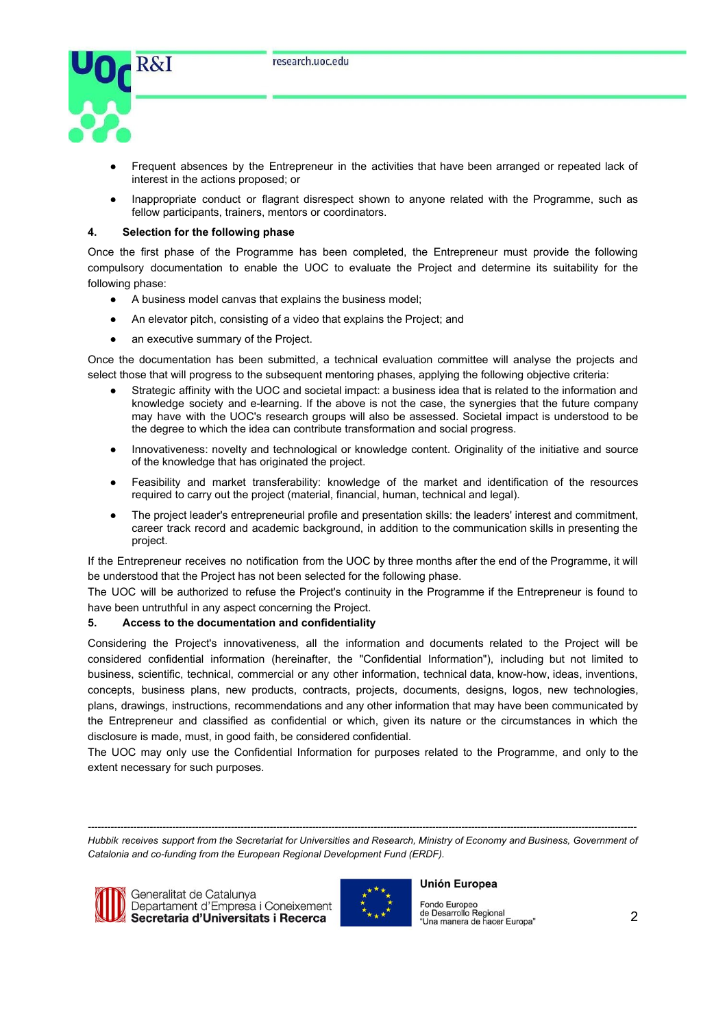

- Frequent absences by the Entrepreneur in the activities that have been arranged or repeated lack of interest in the actions proposed; or
- Inappropriate conduct or flagrant disrespect shown to anyone related with the Programme, such as fellow participants, trainers, mentors or coordinators.

### **4. Selection for the following phase**

Once the first phase of the Programme has been completed, the Entrepreneur must provide the following compulsory documentation to enable the UOC to evaluate the Project and determine its suitability for the following phase:

- A business model canvas that explains the business model;
- An elevator pitch, consisting of a video that explains the Project; and
- an executive summary of the Project.

Once the documentation has been submitted, a technical evaluation committee will analyse the projects and select those that will progress to the subsequent mentoring phases, applying the following objective criteria:

- Strategic affinity with the UOC and societal impact: a business idea that is related to the information and knowledge society and e-learning. If the above is not the case, the synergies that the future company may have with the UOC's research groups will also be assessed. Societal impact is understood to be the degree to which the idea can contribute transformation and social progress.
- Innovativeness: novelty and technological or knowledge content. Originality of the initiative and source of the knowledge that has originated the project.
- Feasibility and market transferability: knowledge of the market and identification of the resources required to carry out the project (material, financial, human, technical and legal).
- The project leader's entrepreneurial profile and presentation skills: the leaders' interest and commitment, career track record and academic background, in addition to the communication skills in presenting the project.

If the Entrepreneur receives no notification from the UOC by three months after the end of the Programme, it will be understood that the Project has not been selected for the following phase.

The UOC will be authorized to refuse the Project's continuity in the Programme if the Entrepreneur is found to have been untruthful in any aspect concerning the Project.

## **5. Access to the documentation and confidentiality**

Considering the Project's innovativeness, all the information and documents related to the Project will be considered confidential information (hereinafter, the "Confidential Information"), including but not limited to business, scientific, technical, commercial or any other information, technical data, know-how, ideas, inventions, concepts, business plans, new products, contracts, projects, documents, designs, logos, new technologies, plans, drawings, instructions, recommendations and any other information that may have been communicated by the Entrepreneur and classified as confidential or which, given its nature or the circumstances in which the disclosure is made, must, in good faith, be considered confidential.

The UOC may only use the Confidential Information for purposes related to the Programme, and only to the extent necessary for such purposes.

*-------------------------------------------------------------------------------------------------------------------------------------------------------------------------* Hubbik receives support from the Secretariat for Universities and Research, Ministry of Economy and Business, Government of *Catalonia and co-funding from the European Regional Development Fund (ERDF).*



Generalitat de Catalunya Departament d'Empresa i Coneixement Secretaria d'Universitats i Recerca



#### **Unión Europea**

Fondo Europeo<br>de Desarrollo Regional<br>"Una manera de hacer Europa"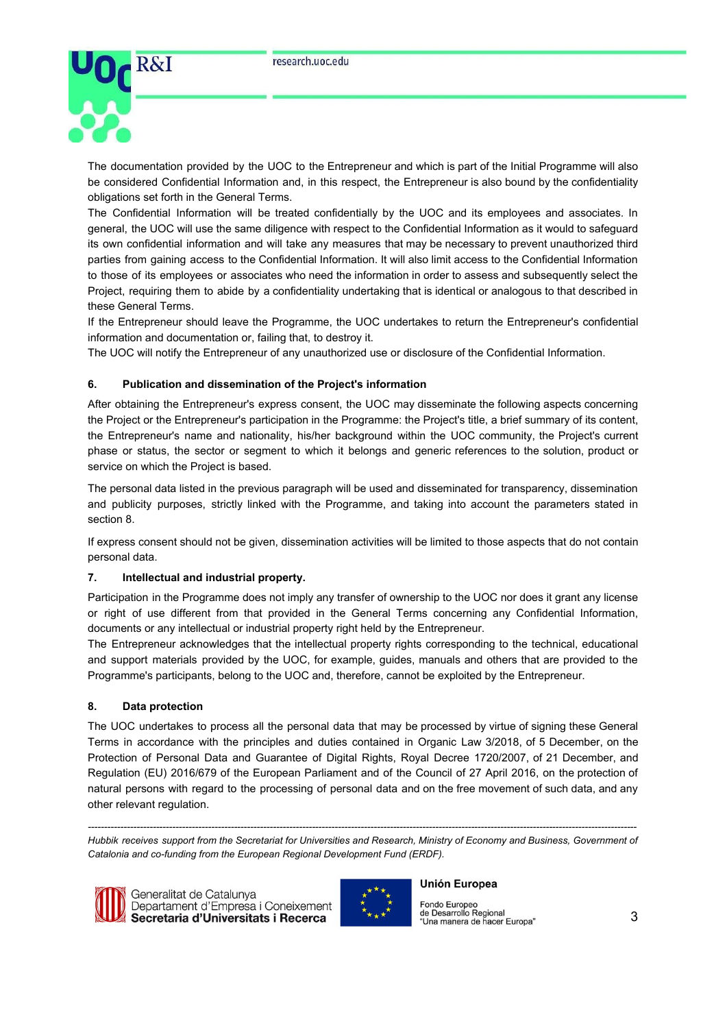

The documentation provided by the UOC to the Entrepreneur and which is part of the Initial Programme will also be considered Confidential Information and, in this respect, the Entrepreneur is also bound by the confidentiality obligations set forth in the General Terms.

The Confidential Information will be treated confidentially by the UOC and its employees and associates. In general, the UOC will use the same diligence with respect to the Confidential Information as it would to safeguard its own confidential information and will take any measures that may be necessary to prevent unauthorized third parties from gaining access to the Confidential Information. It will also limit access to the Confidential Information to those of its employees or associates who need the information in order to assess and subsequently select the Project, requiring them to abide by a confidentiality undertaking that is identical or analogous to that described in these General Terms.

If the Entrepreneur should leave the Programme, the UOC undertakes to return the Entrepreneur's confidential information and documentation or, failing that, to destroy it.

The UOC will notify the Entrepreneur of any unauthorized use or disclosure of the Confidential Information.

## **6. Publication and dissemination of the Project's information**

After obtaining the Entrepreneur's express consent, the UOC may disseminate the following aspects concerning the Project or the Entrepreneur's participation in the Programme: the Project's title, a brief summary of its content, the Entrepreneur's name and nationality, his/her background within the UOC community, the Project's current phase or status, the sector or segment to which it belongs and generic references to the solution, product or service on which the Project is based.

The personal data listed in the previous paragraph will be used and disseminated for transparency, dissemination and publicity purposes, strictly linked with the Programme, and taking into account the parameters stated in section 8.

If express consent should not be given, dissemination activities will be limited to those aspects that do not contain personal data.

### **7. Intellectual and industrial property.**

Participation in the Programme does not imply any transfer of ownership to the UOC nor does it grant any license or right of use different from that provided in the General Terms concerning any Confidential Information, documents or any intellectual or industrial property right held by the Entrepreneur.

The Entrepreneur acknowledges that the intellectual property rights corresponding to the technical, educational and support materials provided by the UOC, for example, guides, manuals and others that are provided to the Programme's participants, belong to the UOC and, therefore, cannot be exploited by the Entrepreneur.

### **8. Data protection**

The UOC undertakes to process all the personal data that may be processed by virtue of signing these General Terms in accordance with the principles and duties contained in Organic Law 3/2018, of 5 December, on the Protection of Personal Data and Guarantee of Digital Rights, Royal Decree 1720/2007, of 21 December, and Regulation (EU) 2016/679 of the European Parliament and of the Council of 27 April 2016, on the protection of natural persons with regard to the processing of personal data and on the free movement of such data, and any other relevant regulation.

*-------------------------------------------------------------------------------------------------------------------------------------------------------------------------* Hubbik receives support from the Secretariat for Universities and Research, Ministry of Economy and Business, Government of *Catalonia and co-funding from the European Regional Development Fund (ERDF).*



Generalitat de Catalunya Departament d'Empresa i Coneixement Secretaria d'Universitats i Recerca



#### **Unión Europea**

Fondo Europeo<br>de Desarrollo Regional "Una manera de hacer Europa"